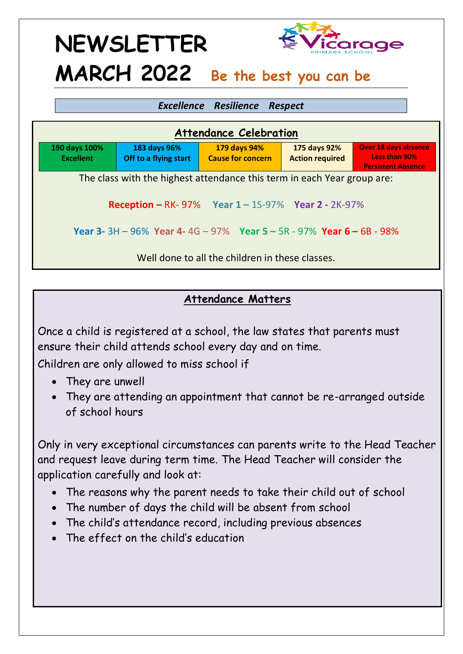#### *Excellence Resilience Respect*

| <b>Attendance Celebration</b>                                                     |                                       |                                          |                                        |                                                                           |
|-----------------------------------------------------------------------------------|---------------------------------------|------------------------------------------|----------------------------------------|---------------------------------------------------------------------------|
| 190 days 100%<br><b>Excellent</b>                                                 | 183 days 96%<br>Off to a flying start | 179 days 94%<br><b>Cause for concern</b> | 175 days 92%<br><b>Action required</b> | <b>Over 18 days absence</b><br>Less than 90%<br><b>Persistent Absence</b> |
| The class with the highest attendance this term in each Year group are:           |                                       |                                          |                                        |                                                                           |
| <b>Reception - RK-97%</b> Year $1 - 15-97%$ Year 2 - 2K-97%                       |                                       |                                          |                                        |                                                                           |
| Year 3- 3H - $96\%$ Year 4- 4G - $97\%$ Year 5 - 5R - $97\%$ Year 6 - 6B - $98\%$ |                                       |                                          |                                        |                                                                           |
| Well done to all the children in these classes.                                   |                                       |                                          |                                        |                                                                           |

#### **Attendance Matters**

Once a child is registered at a school, the law states that parents must ensure their child attends school every day and on time.

Children are only allowed to miss school if

- They are unwell
- They are attending an appointment that cannot be re-arranged outside of school hours

Only in very exceptional circumstances can parents write to the Head Teacher and request leave during term time. The Head Teacher will consider the application carefully and look at:

- The reasons why the parent needs to take their child out of school
- The number of days the child will be absent from school
- The child's attendance record, including previous absences
- The effect on the child's education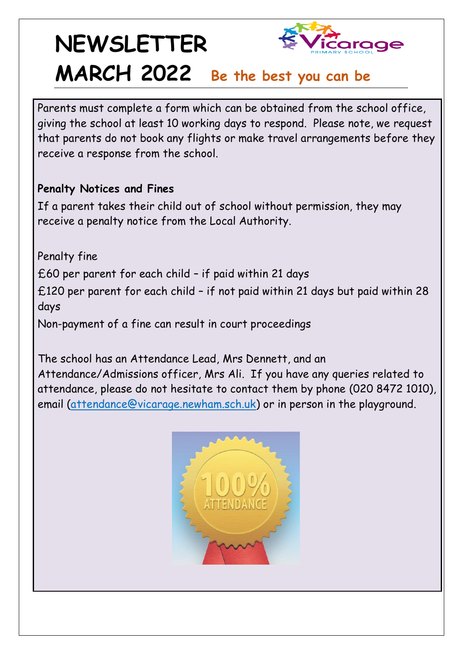Parents must complete a form which can be obtained from the school office, giving the school at least 10 working days to respond. Please note, we request that parents do not book any flights or make travel arrangements before they receive a response from the school.

#### **Penalty Notices and Fines**

If a parent takes their child out of school without permission, they may receive a penalty notice from the Local Authority.

Penalty fine £60 per parent for each child – if paid within 21 days £120 per parent for each child – if not paid within 21 days but paid within 28 days Non-payment of a fine can result in court proceedings

The school has an Attendance Lead, Mrs Dennett, and an Attendance/Admissions officer, Mrs Ali. If you have any queries related to attendance, please do not hesitate to contact them by phone (020 8472 1010), email (attendanc[e@vicarage.newham.sch.uk\)](mailto:attendace@vicarage.newham.sch.uk) or in person in the playground.

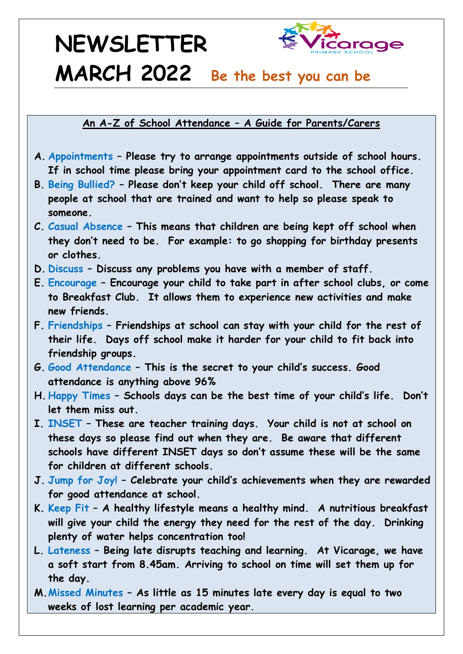**An A-Z of School Attendance – A Guide for Parents/Carers**

- **A. Appointments – Please try to arrange appointments outside of school hours. If in school time please bring your appointment card to the school office.**
- **B. Being Bullied? – Please don't keep your child off school. There are many people at school that are trained and want to help so please speak to someone.**
- **C. Casual Absence – This means that children are being kept off school when they don't need to be. For example: to go shopping for birthday presents or clothes.**
- **D. Discuss – Discuss any problems you have with a member of staff.**
- **E. Encourage – Encourage your child to take part in after school clubs, or come to Breakfast Club. It allows them to experience new activities and make new friends.**
- **F. Friendships – Friendships at school can stay with your child for the rest of their life. Days off school make it harder for your child to fit back into friendship groups.**
- **G. Good Attendance – This is the secret to your child's success. Good attendance is anything above 96%**
- **H. Happy Times – Schools days can be the best time of your child's life. Don't let them miss out.**
- **I. INSET – These are teacher training days. Your child is not at school on these days so please find out when they are. Be aware that different schools have different INSET days so don't assume these will be the same for children at different schools.**
- **J. Jump for Joy! – Celebrate your child's achievements when they are rewarded for good attendance at school.**
- **K. Keep Fit – A healthy lifestyle means a healthy mind. A nutritious breakfast will give your child the energy they need for the rest of the day. Drinking plenty of water helps concentration too!**
- **L. Lateness – Being late disrupts teaching and learning. At Vicarage, we have a soft start from 8.45am. Arriving to school on time will set them up for the day.**
- **M.Missed Minutes – As little as 15 minutes late every day is equal to two weeks of lost learning per academic year.**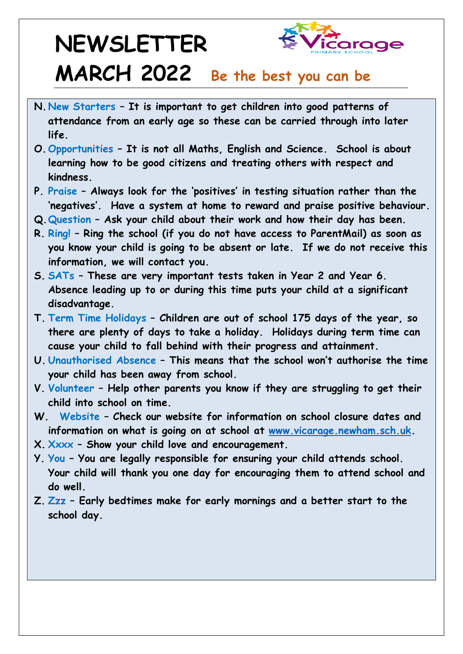# **NEWSLETTER**



### **MARCH 2022 Be the best you can be**

- **N. New Starters – It is important to get children into good patterns of attendance from an early age so these can be carried through into later life.**
- **O.Opportunities – It is not all Maths, English and Science. School is about learning how to be good citizens and treating others with respect and kindness.**
- **P. Praise – Always look for the 'positives' in testing situation rather than the 'negatives'. Have a system at home to reward and praise positive behaviour.**
- **Q.Question – Ask your child about their work and how their day has been.**
- **R. Ring! – Ring the school (if you do not have access to ParentMail) as soon as you know your child is going to be absent or late. If we do not receive this information, we will contact you.**
- **S. SATs – These are very important tests taken in Year 2 and Year 6. Absence leading up to or during this time puts your child at a significant disadvantage.**
- **T. Term Time Holidays – Children are out of school 175 days of the year, so there are plenty of days to take a holiday. Holidays during term time can cause your child to fall behind with their progress and attainment.**
- **U. Unauthorised Absence – This means that the school won't authorise the time your child has been away from school.**
- **V. Volunteer – Help other parents you know if they are struggling to get their child into school on time.**
- **W. Website – Check our website for information on school closure dates and information on what is going on at school at [www.vicarage.newham.sch.uk.](http://www.vicarage.newham.sch.uk/)**
- **X. Xxxx – Show your child love and encouragement.**
- **Y. You – You are legally responsible for ensuring your child attends school. Your child will thank you one day for encouraging them to attend school and do well.**
- **Z. Zzz – Early bedtimes make for early mornings and a better start to the school day.**